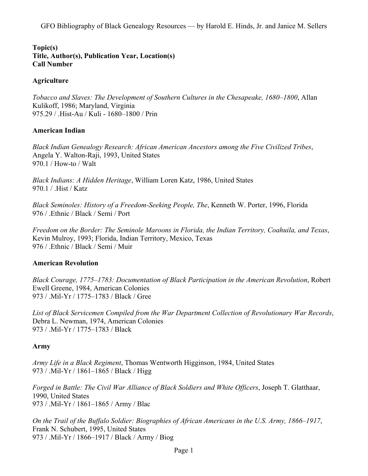### **Topic(s) Title, Author(s), Publication Year, Location(s) Call Number**

### **Agriculture**

*Tobacco and Slaves: The Development of Southern Cultures in the Chesapeake, 1680–1800*, Allan Kulikoff, 1986; Maryland, Virginia 975.29 / .Hist-Au / Kuli - 1680–1800 / Prin

### **American Indian**

*Black Indian Genealogy Research: African American Ancestors among the Five Civilized Tribes*, Angela Y. Walton-Raji, 1993, United States 970.1 / How-to / Walt

*Black Indians: A Hidden Heritage*, William Loren Katz, 1986, United States 970.1 / .Hist / Katz

*Black Seminoles: History of a Freedom-Seeking People, The*, Kenneth W. Porter, 1996, Florida 976 / .Ethnic / Black / Semi / Port

*Freedom on the Border: The Seminole Maroons in Florida, the Indian Territory, Coahuila, and Texas*, Kevin Mulroy, 1993; Florida, Indian Territory, Mexico, Texas 976 / .Ethnic / Black / Semi / Muir

#### **American Revolution**

*Black Courage, 1775–1783: Documentation of Black Participation in the American Revolution*, Robert Ewell Greene, 1984, American Colonies 973 / .Mil-Yr / 1775–1783 / Black / Gree

*List of Black Servicemen Compiled from the War Department Collection of Revolutionary War Records*, Debra L. Newman, 1974, American Colonies 973 / .Mil-Yr / 1775–1783 / Black

#### **Army**

*Army Life in a Black Regiment*, Thomas Wentworth Higginson, 1984, United States 973 / .Mil-Yr / 1861–1865 / Black / Higg

*Forged in Battle: The Civil War Alliance of Black Soldiers and White Officers*, Joseph T. Glatthaar, 1990, United States 973 / .Mil-Yr / 1861–1865 / Army / Blac

*On the Trail of the Buffalo Soldier: Biographies of African Americans in the U.S. Army, 1866–1917*, Frank N. Schubert, 1995, United States 973 / .Mil-Yr / 1866–1917 / Black / Army / Biog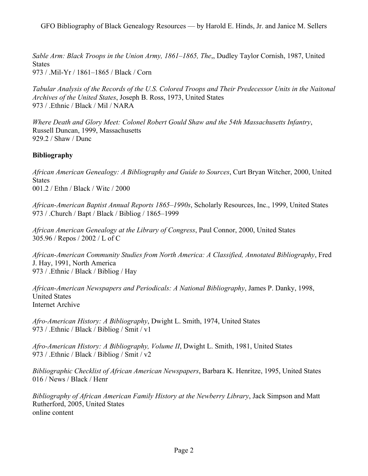*Sable Arm: Black Troops in the Union Army, 1861–1865, The*,, Dudley Taylor Cornish, 1987, United States 973 / .Mil-Yr / 1861–1865 / Black / Corn

*Tabular Analysis of the Records of the U.S. Colored Troops and Their Predecessor Units in the Naitonal Archives of the United States*, Joseph B. Ross, 1973, United States 973 / .Ethnic / Black / Mil / NARA

*Where Death and Glory Meet: Colonel Robert Gould Shaw and the 54th Massachusetts Infantry*, Russell Duncan, 1999, Massachusetts 929.2 / Shaw / Dunc

# **Bibliography**

*African American Genealogy: A Bibliography and Guide to Sources*, Curt Bryan Witcher, 2000, United States 001.2 / Ethn / Black / Witc / 2000

*African-American Baptist Annual Reports 1865–1990s*, Scholarly Resources, Inc., 1999, United States 973 / .Church / Bapt / Black / Bibliog / 1865–1999

*African American Genealogy at the Library of Congress*, Paul Connor, 2000, United States 305.96 / Repos / 2002 / L of C

*African-American Community Studies from North America: A Classified, Annotated Bibliography*, Fred J. Hay, 1991, North America 973 / .Ethnic / Black / Bibliog / Hay

*African-American Newspapers and Periodicals: A National Bibliography*, James P. Danky, 1998, United States Internet Archive

*Afro-American History: A Bibliography*, Dwight L. Smith, 1974, United States 973 / .Ethnic / Black / Bibliog / Smit / v1

*Afro-American History: A Bibliography, Volume II*, Dwight L. Smith, 1981, United States 973 / .Ethnic / Black / Bibliog / Smit / v2

*Bibliographic Checklist of African American Newspapers*, Barbara K. Henritze, 1995, United States 016 / News / Black / Henr

*Bibliography of African American Family History at the Newberry Library*, Jack Simpson and Matt Rutherford, 2005, United States online content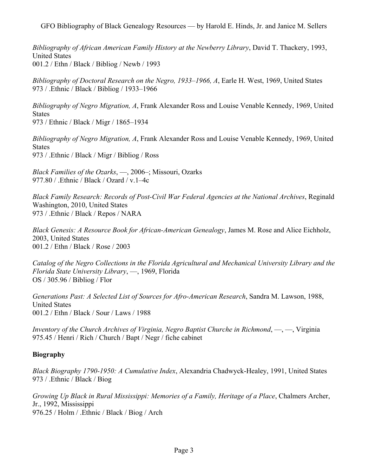*Bibliography of African American Family History at the Newberry Library*, David T. Thackery, 1993, United States 001.2 / Ethn / Black / Bibliog / Newb / 1993

*Bibliography of Doctoral Research on the Negro, 1933–1966, A*, Earle H. West, 1969, United States 973 / .Ethnic / Black / Bibliog / 1933–1966

*Bibliography of Negro Migration, A*, Frank Alexander Ross and Louise Venable Kennedy, 1969, United States 973 / Ethnic / Black / Migr / 1865–1934

*Bibliography of Negro Migration, A*, Frank Alexander Ross and Louise Venable Kennedy, 1969, United States 973 / .Ethnic / Black / Migr / Bibliog / Ross

*Black Families of the Ozarks*, —, 2006–; Missouri, Ozarks 977.80 / .Ethnic / Black / Ozard / v.1–4c

*Black Family Research: Records of Post-Civil War Federal Agencies at the National Archives*, Reginald Washington, 2010, United States 973 / .Ethnic / Black / Repos / NARA

*Black Genesis: A Resource Book for African-American Genealogy*, James M. Rose and Alice Eichholz, 2003, United States 001.2 / Ethn / Black / Rose / 2003

*Catalog of the Negro Collections in the Florida Agricultural and Mechanical University Library and the Florida State University Library*, —, 1969, Florida OS / 305.96 / Bibliog / Flor

*Generations Past: A Selected List of Sources for Afro-American Research*, Sandra M. Lawson, 1988, United States 001.2 / Ethn / Black / Sour / Laws / 1988

*Inventory of the Church Archives of Virginia, Negro Baptist Churche in Richmond*, —, —, Virginia 975.45 / Henri / Rich / Church / Bapt / Negr / fiche cabinet

## **Biography**

*Black Biography 1790-1950: A Cumulative Index*, Alexandria Chadwyck-Healey, 1991, United States 973 / .Ethnic / Black / Biog

*Growing Up Black in Rural Mississippi: Memories of a Family, Heritage of a Place*, Chalmers Archer, Jr., 1992, Mississippi 976.25 / Holm / .Ethnic / Black / Biog / Arch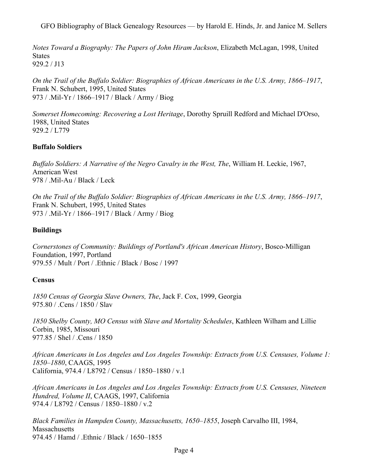*Notes Toward a Biography: The Papers of John Hiram Jackson*, Elizabeth McLagan, 1998, United **States** 929.2 / J13

*On the Trail of the Buffalo Soldier: Biographies of African Americans in the U.S. Army, 1866–1917*, Frank N. Schubert, 1995, United States 973 / .Mil-Yr / 1866–1917 / Black / Army / Biog

*Somerset Homecoming: Recovering a Lost Heritage*, Dorothy Spruill Redford and Michael D'Orso, 1988, United States 929.2 / L779

## **Buffalo Soldiers**

*Buffalo Soldiers: A Narrative of the Negro Cavalry in the West, The*, William H. Leckie, 1967, American West 978 / .Mil-Au / Black / Leck

*On the Trail of the Buffalo Soldier: Biographies of African Americans in the U.S. Army, 1866–1917*, Frank N. Schubert, 1995, United States 973 / .Mil-Yr / 1866–1917 / Black / Army / Biog

### **Buildings**

*Cornerstones of Community: Buildings of Portland's African American History*, Bosco-Milligan Foundation, 1997, Portland 979.55 / Mult / Port / .Ethnic / Black / Bosc / 1997

#### **Census**

*1850 Census of Georgia Slave Owners, The*, Jack F. Cox, 1999, Georgia 975.80 / .Cens / 1850 / Slav

*1850 Shelby County, MO Census with Slave and Mortality Schedules*, Kathleen Wilham and Lillie Corbin, 1985, Missouri 977.85 / Shel / .Cens / 1850

*African Americans in Los Angeles and Los Angeles Township: Extracts from U.S. Censuses, Volume 1: 1850–1880*, CAAGS, 1995 California, 974.4 / L8792 / Census / 1850–1880 / v.1

*African Americans in Los Angeles and Los Angeles Township: Extracts from U.S. Censuses, Nineteen Hundred, Volume II*, CAAGS, 1997, California 974.4 / L8792 / Census / 1850–1880 / v.2

*Black Families in Hampden County, Massachusetts, 1650–1855*, Joseph Carvalho III, 1984, **Massachusetts** 974.45 / Hamd / .Ethnic / Black / 1650–1855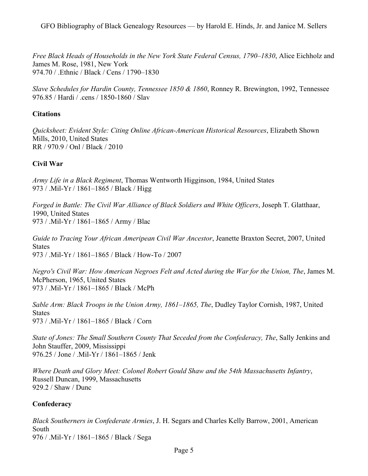*Free Black Heads of Households in the New York State Federal Census, 1790–1830*, Alice Eichholz and James M. Rose, 1981, New York 974.70 / .Ethnic / Black / Cens / 1790–1830

*Slave Schedules for Hardin County, Tennessee 1850 & 1860*, Ronney R. Brewington, 1992, Tennessee 976.85 / Hardi / .cens / 1850-1860 / Slav

## **Citations**

*Quicksheet: Evident Style: Citing Online African-American Historical Resources*, Elizabeth Shown Mills, 2010, United States RR / 970.9 / Onl / Black / 2010

# **Civil War**

*Army Life in a Black Regiment*, Thomas Wentworth Higginson, 1984, United States 973 / .Mil-Yr / 1861–1865 / Black / Higg

*Forged in Battle: The Civil War Alliance of Black Soldiers and White Officers*, Joseph T. Glatthaar, 1990, United States 973 / .Mil-Yr / 1861–1865 / Army / Blac

*Guide to Tracing Your African Ameripean Civil War Ancestor*, Jeanette Braxton Secret, 2007, United **States** 973 / .Mil-Yr / 1861–1865 / Black / How-To / 2007

*Negro's Civil War: How American Negroes Felt and Acted during the War for the Union, The*, James M. McPherson, 1965, United States 973 / .Mil-Yr / 1861–1865 / Black / McPh

*Sable Arm: Black Troops in the Union Army, 1861–1865, The*, Dudley Taylor Cornish, 1987, United States 973 / .Mil-Yr / 1861–1865 / Black / Corn

*State of Jones: The Small Southern County That Seceded from the Confederacy, The*, Sally Jenkins and John Stauffer, 2009, Mississippi 976.25 / Jone / .Mil-Yr / 1861–1865 / Jenk

*Where Death and Glory Meet: Colonel Robert Gould Shaw and the 54th Massachusetts Infantry*, Russell Duncan, 1999, Massachusetts 929.2 / Shaw / Dunc

## **Confederacy**

*Black Southerners in Confederate Armies*, J. H. Segars and Charles Kelly Barrow, 2001, American South 976 / .Mil-Yr / 1861–1865 / Black / Sega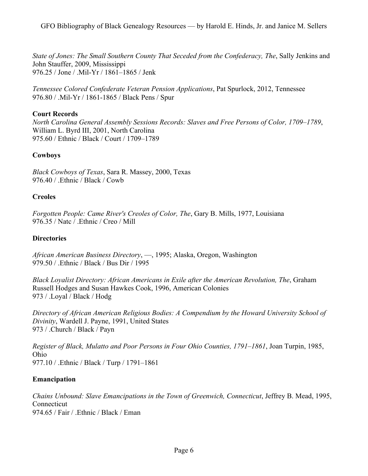*State of Jones: The Small Southern County That Seceded from the Confederacy, The*, Sally Jenkins and John Stauffer, 2009, Mississippi 976.25 / Jone / .Mil-Yr / 1861–1865 / Jenk

*Tennessee Colored Confederate Veteran Pension Applications*, Pat Spurlock, 2012, Tennessee 976.80 / .Mil-Yr / 1861-1865 / Black Pens / Spur

### **Court Records**

*North Carolina General Assembly Sessions Records: Slaves and Free Persons of Color, 1709–1789*, William L. Byrd III, 2001, North Carolina 975.60 / Ethnic / Black / Court / 1709–1789

## **Cowboys**

*Black Cowboys of Texas*, Sara R. Massey, 2000, Texas 976.40 / .Ethnic / Black / Cowb

#### **Creoles**

*Forgotten People: Came River's Creoles of Color, The*, Gary B. Mills, 1977, Louisiana 976.35 / Natc / .Ethnic / Creo / Mill

#### **Directories**

*African American Business Directory*, —, 1995; Alaska, Oregon, Washington 979.50 / .Ethnic / Black / Bus Dir / 1995

*Black Loyalist Directory: African Americans in Exile after the American Revolution, The*, Graham Russell Hodges and Susan Hawkes Cook, 1996, American Colonies 973 / .Loyal / Black / Hodg

*Directory of African American Religious Bodies: A Compendium by the Howard University School of Divinity*, Wardell J. Payne, 1991, United States 973 / .Church / Black / Payn

*Register of Black, Mulatto and Poor Persons in Four Ohio Counties, 1791–1861*, Joan Turpin, 1985, Ohio 977.10 / .Ethnic / Black / Turp / 1791–1861

#### **Emancipation**

*Chains Unbound: Slave Emancipations in the Town of Greenwich, Connecticut*, Jeffrey B. Mead, 1995, Connecticut 974.65 / Fair / .Ethnic / Black / Eman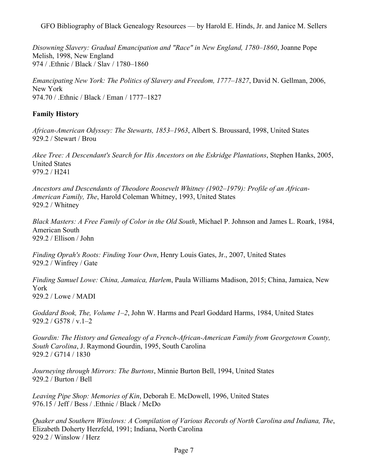*Disowning Slavery: Gradual Emancipation and "Race" in New England, 1780–1860*, Joanne Pope Melish, 1998, New England 974 / .Ethnic / Black / Slav / 1780–1860

*Emancipating New York: The Politics of Slavery and Freedom, 1777–1827*, David N. Gellman, 2006, New York 974.70 / .Ethnic / Black / Eman / 1777–1827

# **Family History**

*African-American Odyssey: The Stewarts, 1853–1963*, Albert S. Broussard, 1998, United States 929.2 / Stewart / Brou

*Akee Tree: A Descendant's Search for His Ancestors on the Eskridge Plantations*, Stephen Hanks, 2005, United States 979.2 / H241

*Ancestors and Descendants of Theodore Roosevelt Whitney (1902–1979): Profile of an African-American Family, The*, Harold Coleman Whitney, 1993, United States 929.2 / Whitney

*Black Masters: A Free Family of Color in the Old South*, Michael P. Johnson and James L. Roark, 1984, American South 929.2 / Ellison / John

*Finding Oprah's Roots: Finding Your Own*, Henry Louis Gates, Jr., 2007, United States 929.2 / Winfrey / Gate

*Finding Samuel Lowe: China, Jamaica, Harlem*, Paula Williams Madison, 2015; China, Jamaica, New York 929.2 / Lowe / MADI

*Goddard Book, The, Volume 1–2*, John W. Harms and Pearl Goddard Harms, 1984, United States 929.2 / G578 / v.1–2

*Gourdin: The History and Genealogy of a French-African-American Family from Georgetown County, South Carolina*, J. Raymond Gourdin, 1995, South Carolina 929.2 / G714 / 1830

*Journeying through Mirrors: The Burtons*, Minnie Burton Bell, 1994, United States 929.2 / Burton / Bell

*Leaving Pipe Shop: Memories of Kin*, Deborah E. McDowell, 1996, United States 976.15 / Jeff / Bess / .Ethnic / Black / McDo

*Quaker and Southern Winslows: A Compilation of Various Records of North Carolina and Indiana, The*, Elizabeth Doherty Herzfeld, 1991; Indiana, North Carolina 929.2 / Winslow / Herz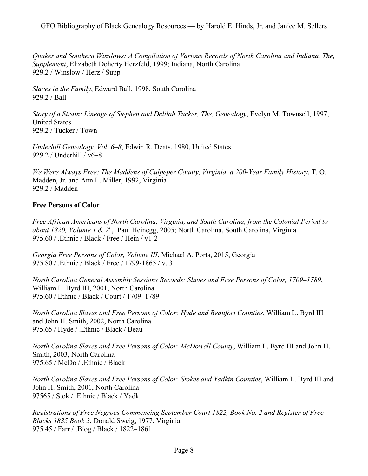*Quaker and Southern Winslows: A Compilation of Various Records of North Carolina and Indiana, The, Supplement*, Elizabeth Doherty Herzfeld, 1999; Indiana, North Carolina 929.2 / Winslow / Herz / Supp

*Slaves in the Family*, Edward Ball, 1998, South Carolina 929.2 / Ball

*Story of a Strain: Lineage of Stephen and Delilah Tucker, The, Genealogy*, Evelyn M. Townsell, 1997, United States 929.2 / Tucker / Town

*Underhill Genealogy, Vol. 6–8*, Edwin R. Deats, 1980, United States 929.2 / Underhill / v6–8

*We Were Always Free: The Maddens of Culpeper County, Virginia, a 200-Year Family History*, T. O. Madden, Jr. and Ann L. Miller, 1992, Virginia 929.2 / Madden

## **Free Persons of Color**

*Free African Americans of North Carolina, Virginia, and South Carolina, from the Colonial Period to about 1820, Volume 1 & 2*", Paul Heinegg, 2005; North Carolina, South Carolina, Virginia 975.60 / .Ethnic / Black / Free / Hein / v1-2

*Georgia Free Persons of Color, Volume III*, Michael A. Ports, 2015, Georgia 975.80 / .Ethnic / Black / Free / 1799-1865 / v. 3

*North Carolina General Assembly Sessions Records: Slaves and Free Persons of Color, 1709–1789*, William L. Byrd III, 2001, North Carolina 975.60 / Ethnic / Black / Court / 1709–1789

*North Carolina Slaves and Free Persons of Color: Hyde and Beaufort Counties*, William L. Byrd III and John H. Smith, 2002, North Carolina 975.65 / Hyde / .Ethnic / Black / Beau

*North Carolina Slaves and Free Persons of Color: McDowell County*, William L. Byrd III and John H. Smith, 2003, North Carolina 975.65 / McDo / .Ethnic / Black

*North Carolina Slaves and Free Persons of Color: Stokes and Yadkin Counties*, William L. Byrd III and John H. Smith, 2001, North Carolina 97565 / Stok / .Ethnic / Black / Yadk

*Registrations of Free Negroes Commencing September Court 1822, Book No. 2 and Register of Free Blacks 1835 Book 3*, Donald Sweig, 1977, Virginia 975.45 / Farr / .Biog / Black / 1822–1861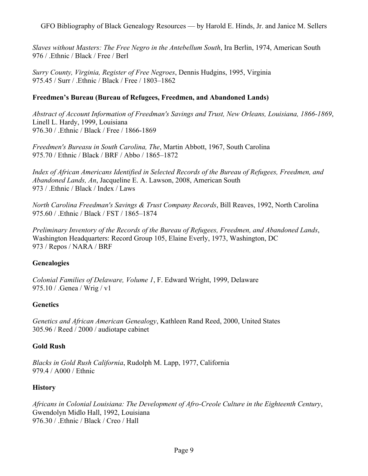*Slaves without Masters: The Free Negro in the Antebellum South*, Ira Berlin, 1974, American South 976 / .Ethnic / Black / Free / Berl

*Surry County, Virginia, Register of Free Negroes*, Dennis Hudgins, 1995, Virginia 975.45 / Surr / .Ethnic / Black / Free / 1803–1862

# **Freedmen's Bureau (Bureau of Refugees, Freedmen, and Abandoned Lands)**

*Abstract of Account Information of Freedman's Savings and Trust, New Orleans, Louisiana, 1866-1869*, Linell L. Hardy, 1999, Louisiana 976.30 / .Ethnic / Black / Free / 1866-1869

*Freedmen's Bureasu in South Carolina, The*, Martin Abbott, 1967, South Carolina 975.70 / Ethnic / Black / BRF / Abbo / 1865–1872

*Index of African Americans Identified in Selected Records of the Bureau of Refugees, Freedmen, and Abandoned Lands, An*, Jacqueline E. A. Lawson, 2008, American South 973 / .Ethnic / Black / Index / Laws

*North Carolina Freedman's Savings & Trust Company Records*, Bill Reaves, 1992, North Carolina 975.60 / .Ethnic / Black / FST / 1865–1874

*Preliminary Inventory of the Records of the Bureau of Refugees, Freedmen, and Abandoned Lands*, Washington Headquarters: Record Group 105, Elaine Everly, 1973, Washington, DC 973 / Repos / NARA / BRF

## **Genealogies**

*Colonial Families of Delaware, Volume 1*, F. Edward Wright, 1999, Delaware 975.10 / .Genea / Wrig / v1

## **Genetics**

*Genetics and African American Genealogy*, Kathleen Rand Reed, 2000, United States 305.96 / Reed / 2000 / audiotape cabinet

## **Gold Rush**

*Blacks in Gold Rush California*, Rudolph M. Lapp, 1977, California 979.4 / A000 / Ethnic

## **History**

*Africans in Colonial Louisiana: The Development of Afro-Creole Culture in the Eighteenth Century*, Gwendolyn Midlo Hall, 1992, Louisiana 976.30 / .Ethnic / Black / Creo / Hall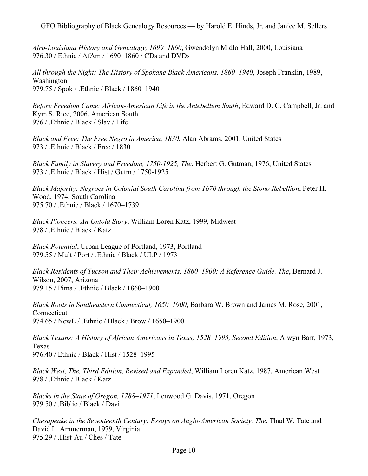*Afro-Louisiana History and Genealogy, 1699–1860*, Gwendolyn Midlo Hall, 2000, Louisiana 976.30 / Ethnic / AfAm / 1690–1860 / CDs and DVDs

*All through the Night: The History of Spokane Black Americans, 1860–1940*, Joseph Franklin, 1989, Washington 979.75 / Spok / .Ethnic / Black / 1860–1940

*Before Freedom Came: African-American Life in the Antebellum South*, Edward D. C. Campbell, Jr. and Kym S. Rice, 2006, American South 976 / .Ethnic / Black / Slav / Life

*Black and Free: The Free Negro in America, 1830*, Alan Abrams, 2001, United States 973 / .Ethnic / Black / Free / 1830

*Black Family in Slavery and Freedom, 1750-1925, The*, Herbert G. Gutman, 1976, United States 973 / .Ethnic / Black / Hist / Gutm / 1750-1925

*Black Majority: Negroes in Colonial South Carolina from 1670 through the Stono Rebellion*, Peter H. Wood, 1974, South Carolina 975.70 / .Ethnic / Black / 1670–1739

*Black Pioneers: An Untold Story*, William Loren Katz, 1999, Midwest 978 / .Ethnic / Black / Katz

*Black Potential*, Urban League of Portland, 1973, Portland 979.55 / Mult / Port / .Ethnic / Black / ULP / 1973

*Black Residents of Tucson and Their Achievements, 1860–1900: A Reference Guide, The*, Bernard J. Wilson, 2007, Arizona 979.15 / Pima / .Ethnic / Black / 1860–1900

*Black Roots in Southeastern Connecticut, 1650–1900*, Barbara W. Brown and James M. Rose, 2001, **Connecticut** 974.65 / NewL / .Ethnic / Black / Brow / 1650–1900

*Black Texans: A History of African Americans in Texas, 1528–1995, Second Edition*, Alwyn Barr, 1973, Texas 976.40 / Ethnic / Black / Hist / 1528–1995

*Black West, The, Third Edition, Revised and Expanded*, William Loren Katz, 1987, American West 978 / .Ethnic / Black / Katz

*Blacks in the State of Oregon, 1788–1971*, Lenwood G. Davis, 1971, Oregon 979.50 / .Biblio / Black / Davi

*Chesapeake in the Seventeenth Century: Essays on Anglo-American Society, The*, Thad W. Tate and David L. Ammerman, 1979, Virginia 975.29 / .Hist-Au / Ches / Tate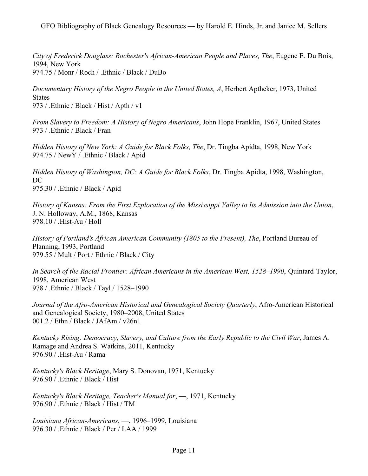*City of Frederick Douglass: Rochester's African-American People and Places, The*, Eugene E. Du Bois, 1994, New York 974.75 / Monr / Roch / .Ethnic / Black / DuBo

*Documentary History of the Negro People in the United States, A*, Herbert Aptheker, 1973, United States 973 / .Ethnic / Black / Hist / Apth / v1

*From Slavery to Freedom: A History of Negro Americans*, John Hope Franklin, 1967, United States 973 / .Ethnic / Black / Fran

*Hidden History of New York: A Guide for Black Folks, The*, Dr. Tingba Apidta, 1998, New York 974.75 / NewY / .Ethnic / Black / Apid

*Hidden History of Washington, DC: A Guide for Black Folks*, Dr. Tingba Apidta, 1998, Washington, DC 975.30 / .Ethnic / Black / Apid

*History of Kansas: From the First Exploration of the Mississippi Valley to Its Admission into the Union*, J. N. Holloway, A.M., 1868, Kansas 978.10 / .Hist-Au / Holl

*History of Portland's African American Community (1805 to the Present), The*, Portland Bureau of Planning, 1993, Portland 979.55 / Mult / Port / Ethnic / Black / City

*In Search of the Racial Frontier: African Americans in the American West, 1528–1990*, Quintard Taylor, 1998, American West 978 / .Ethnic / Black / Tayl / 1528–1990

*Journal of the Afro-American Historical and Genealogical Society Quarterly*, Afro-American Historical and Genealogical Society, 1980–2008, United States 001.2 / Ethn / Black / JAfAm / v26n1

*Kentucky Rising: Democracy, Slavery, and Culture from the Early Republic to the Civil War*, James A. Ramage and Andrea S. Watkins, 2011, Kentucky 976.90 / .Hist-Au / Rama

*Kentucky's Black Heritage*, Mary S. Donovan, 1971, Kentucky 976.90 / .Ethnic / Black / Hist

*Kentucky's Black Heritage, Teacher's Manual for*, —, 1971, Kentucky 976.90 / .Ethnic / Black / Hist / TM

*Louisiana African-Americans*, —, 1996–1999, Louisiana 976.30 / .Ethnic / Black / Per / LAA / 1999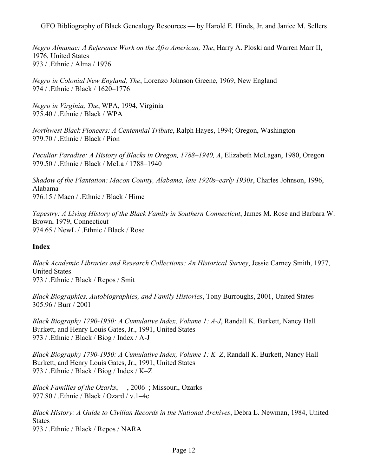*Negro Almanac: A Reference Work on the Afro American, The*, Harry A. Ploski and Warren Marr II, 1976, United States 973 / .Ethnic / Alma / 1976

*Negro in Colonial New England, The*, Lorenzo Johnson Greene, 1969, New England 974 / .Ethnic / Black / 1620–1776

*Negro in Virginia, The*, WPA, 1994, Virginia 975.40 / .Ethnic / Black / WPA

*Northwest Black Pioneers: A Centennial Tribute*, Ralph Hayes, 1994; Oregon, Washington 979.70 / .Ethnic / Black / Pion

*Peculiar Paradise: A History of Blacks in Oregon, 1788–1940, A*, Elizabeth McLagan, 1980, Oregon 979.50 / .Ethnic / Black / McLa / 1788–1940

*Shadow of the Plantation: Macon County, Alabama, late 1920s–early 1930s*, Charles Johnson, 1996, Alabama 976.15 / Maco / .Ethnic / Black / Hime

*Tapestry: A Living History of the Black Family in Southern Connecticut*, James M. Rose and Barbara W. Brown, 1979, Connecticut 974.65 / NewL / .Ethnic / Black / Rose

## **Index**

*Black Academic Libraries and Research Collections: An Historical Survey*, Jessie Carney Smith, 1977, United States 973 / .Ethnic / Black / Repos / Smit

*Black Biographies, Autobiographies, and Family Histories*, Tony Burroughs, 2001, United States 305.96 / Burr / 2001

*Black Biography 1790-1950: A Cumulative Index, Volume 1: A-J*, Randall K. Burkett, Nancy Hall Burkett, and Henry Louis Gates, Jr., 1991, United States 973 / .Ethnic / Black / Biog / Index / A-J

*Black Biography 1790-1950: A Cumulative Index, Volume 1: K–Z*, Randall K. Burkett, Nancy Hall Burkett, and Henry Louis Gates, Jr., 1991, United States 973 / .Ethnic / Black / Biog / Index / K–Z

*Black Families of the Ozarks*, —, 2006–; Missouri, Ozarks 977.80 / .Ethnic / Black / Ozard / v.1–4c

*Black History: A Guide to Civilian Records in the National Archives*, Debra L. Newman, 1984, United **States** 973 / .Ethnic / Black / Repos / NARA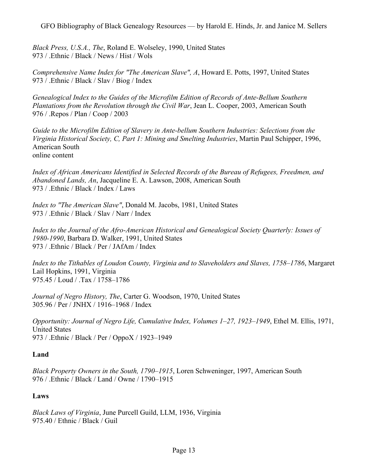*Black Press, U.S.A., The*, Roland E. Wolseley, 1990, United States 973 / .Ethnic / Black / News / Hist / Wols

*Comprehensive Name Index for "The American Slave", A*, Howard E. Potts, 1997, United States 973 / .Ethnic / Black / Slav / Biog / Index

*Genealogical Index to the Guides of the Microfilm Edition of Records of Ante-Bellum Southern Plantations from the Revolution through the Civil War*, Jean L. Cooper, 2003, American South 976 / .Repos / Plan / Coop / 2003

*Guide to the Microfilm Edition of Slavery in Ante-bellum Southern Industries: Selections from the Virginia Historical Society, C, Part 1: Mining and Smelting Industries*, Martin Paul Schipper, 1996, American South online content

*Index of African Americans Identified in Selected Records of the Bureau of Refugees, Freedmen, and Abandoned Lands, An*, Jacqueline E. A. Lawson, 2008, American South 973 / .Ethnic / Black / Index / Laws

*Index to "The American Slave"*, Donald M. Jacobs, 1981, United States 973 / .Ethnic / Black / Slav / Narr / Index

*Index to the Journal of the Afro-American Historical and Genealogical Society Quarterly: Issues of 1980-1990*, Barbara D. Walker, 1991, United States 973 / .Ethnic / Black / Per / JAfAm / Index

*Index to the Tithables of Loudon County, Virginia and to Slaveholders and Slaves, 1758–1786*, Margaret Lail Hopkins, 1991, Virginia 975.45 / Loud / .Tax / 1758–1786

*Journal of Negro History, The*, Carter G. Woodson, 1970, United States 305.96 / Per / JNHX / 1916–1968 / Index

*Opportunity: Journal of Negro Life, Cumulative Index, Volumes 1–27, 1923–1949*, Ethel M. Ellis, 1971, United States 973 / .Ethnic / Black / Per / OppoX / 1923–1949

# **Land**

*Black Property Owners in the South, 1790–1915*, Loren Schweninger, 1997, American South 976 / .Ethnic / Black / Land / Owne / 1790–1915

# **Laws**

*Black Laws of Virginia*, June Purcell Guild, LLM, 1936, Virginia 975.40 / Ethnic / Black / Guil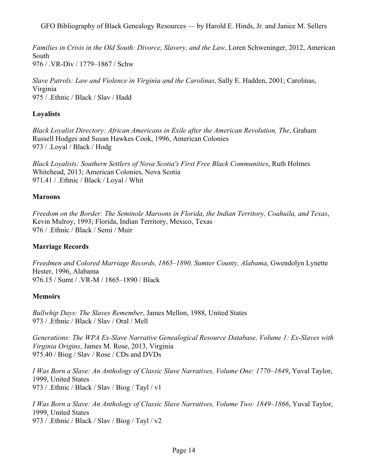*Families in Crisis in the Old South: Divorce, Slavery, and the Law*, Loren Schweninger, 2012, American South 976 / .VR-Div / 1779–1867 / Schw

*Slave Patrols: Law and Violence in Virginia and the Carolinas*, Sally E. Hadden, 2001; Carolinas, Virginia 975 / .Ethnic / Black / Slav / Hadd

# **Loyalists**

*Black Loyalist Directory: African Americans in Exile after the American Revolution, The*, Graham Russell Hodges and Susan Hawkes Cook, 1996, American Colonies 973 / .Loyal / Black / Hodg

*Black Loyalists: Southern Settlers of Nova Scotia's First Free Black Communities*, Ruth Holmes Whitehead, 2013; American Colonies, Nova Scotia 971.41 / .Ethnic / Black / Loyal / Whit

# **Maroons**

*Freedom on the Border: The Seminole Maroons in Florida, the Indian Territory, Coahuila, and Texas*, Kevin Mulroy, 1993; Florida, Indian Territory, Mexico, Texas 976 / .Ethnic / Black / Semi / Muir

# **Marriage Records**

*Freedmen and Colored Marriage Records, 1865–1890, Sumter County, Alabama*, Gwendolyn Lynette Hester, 1996, Alabama 976.15 / Sumt / .VR-M / 1865–1890 / Black

# **Memoirs**

*Bullwhip Days: The Slaves Remember*, James Mellon, 1988, United States 973 / .Ethnic / Black / Slav / Oral / Mell

*Generations: The WPA Ex-Slave Narrative Genealogical Resource Database, Volume 1: Ex-Slaves with Virginia Origins*, James M. Rose, 2013, Virginia 975.40 / Biog / Slav / Rose / CDs and DVDs

*I Was Born a Slave: An Anthology of Classic Slave Narratives, Volume One: 1770–1849*, Yuval Taylor, 1999, United States 973 / .Ethnic / Black / Slav / Biog / Tayl / v1

*I Was Born a Slave: An Anthology of Classic Slave Narratives, Volume Two: 1849–1866*, Yuval Taylor, 1999, United States 973 / .Ethnic / Black / Slav / Biog / Tayl / v2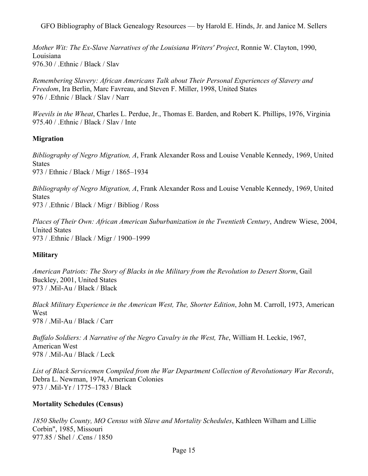*Mother Wit: The Ex-Slave Narratives of the Louisiana Writers' Project*, Ronnie W. Clayton, 1990, Louisiana 976.30 / .Ethnic / Black / Slav

*Remembering Slavery: African Americans Talk about Their Personal Experiences of Slavery and Freedom*, Ira Berlin, Marc Favreau, and Steven F. Miller, 1998, United States 976 / .Ethnic / Black / Slav / Narr

*Weevils in the Wheat*, Charles L. Perdue, Jr., Thomas E. Barden, and Robert K. Phillips, 1976, Virginia 975.40 / .Ethnic / Black / Slav / Inte

# **Migration**

*Bibliography of Negro Migration, A*, Frank Alexander Ross and Louise Venable Kennedy, 1969, United **States** 973 / Ethnic / Black / Migr / 1865–1934

*Bibliography of Negro Migration, A*, Frank Alexander Ross and Louise Venable Kennedy, 1969, United States 973 / .Ethnic / Black / Migr / Bibliog / Ross

*Places of Their Own: African American Suburbanization in the Twentieth Century*, Andrew Wiese, 2004, United States 973 / .Ethnic / Black / Migr / 1900–1999

## **Military**

*American Patriots: The Story of Blacks in the Military from the Revolution to Desert Storm*, Gail Buckley, 2001, United States 973 / .Mil-Au / Black / Black

*Black Military Experience in the American West, The, Shorter Edition*, John M. Carroll, 1973, American West 978 / .Mil-Au / Black / Carr

*Buffalo Soldiers: A Narrative of the Negro Cavalry in the West, The*, William H. Leckie, 1967, American West 978 / .Mil-Au / Black / Leck

*List of Black Servicemen Compiled from the War Department Collection of Revolutionary War Records*, Debra L. Newman, 1974, American Colonies 973 / .Mil-Yr / 1775–1783 / Black

## **Mortality Schedules (Census)**

*1850 Shelby County, MO Census with Slave and Mortality Schedules*, Kathleen Wilham and Lillie Corbin", 1985, Missouri 977.85 / Shel / .Cens / 1850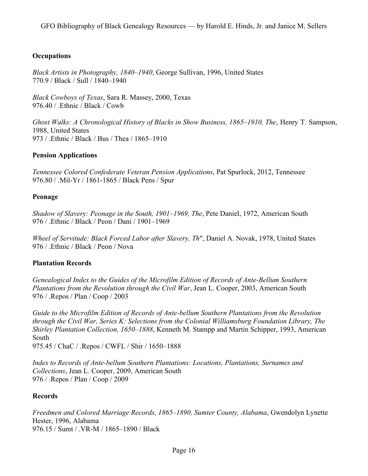# **Occupations**

*Black Artists in Photography, 1840–1940*, George Sullivan, 1996, United States 770.9 / Black / Sull / 1840–1940

*Black Cowboys of Texas*, Sara R. Massey, 2000, Texas 976.40 / .Ethnic / Black / Cowb

*Ghost Walks: A Chronological History of Blacks in Show Business, 1865–1910, The*, Henry T. Sampson, 1988, United States 973 / .Ethnic / Black / Bus / Thea / 1865–1910

# **Pension Applications**

*Tennessee Colored Confederate Veteran Pension Applications*, Pat Spurlock, 2012, Tennessee 976.80 / .Mil-Yr / 1861-1865 / Black Pens / Spur

# **Peonage**

*Shadow of Slavery: Peonage in the South, 1901–1969, The*, Pete Daniel, 1972, American South 976 / .Ethnic / Black / Peon / Dani / 1901–1969

*Wheel of Servitude: Black Forced Labor after Slavery, Th*", Daniel A. Novak, 1978, United States 976 / .Ethnic / Black / Peon / Nova

# **Plantation Records**

*Genealogical Index to the Guides of the Microfilm Edition of Records of Ante-Bellum Southern Plantations from the Revolution through the Civil War*, Jean L. Cooper, 2003, American South 976 / .Repos / Plan / Coop / 2003

*Guide to the Microfilm Edition of Records of Ante-bellum Southern Plantations from the Revolution through the Civil War, Series K: Selections from the Colonial Williamsburg Foundation Library, The Shirley Plantation Collection, 1650–1888*, Kenneth M. Stampp and Martin Schipper, 1993, American South

975.45 / ChaC / .Repos / CWFL / Shir / 1650–1888

*Index to Records of Ante-bellum Southern Plantations: Locations, Plantations, Surnames and Collections*, Jean L. Cooper, 2009, American South 976 / .Repos / Plan / Coop / 2009

# **Records**

*Freedmen and Colored Marriage Records, 1865–1890, Sumter County, Alabama*, Gwendolyn Lynette Hester, 1996, Alabama 976.15 / Sumt / .VR-M / 1865–1890 / Black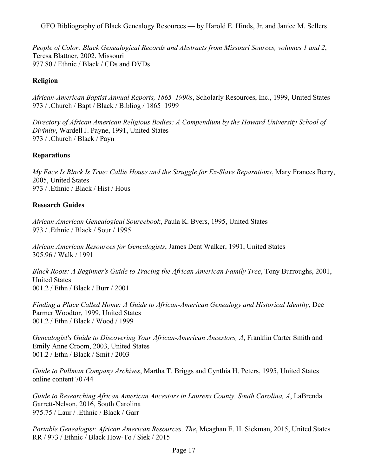*People of Color: Black Genealogical Records and Abstracts from Missouri Sources, volumes 1 and 2*, Teresa Blattner, 2002, Missouri 977.80 / Ethnic / Black / CDs and DVDs

# **Religion**

*African-American Baptist Annual Reports, 1865–1990s*, Scholarly Resources, Inc., 1999, United States 973 / .Church / Bapt / Black / Bibliog / 1865–1999

*Directory of African American Religious Bodies: A Compendium by the Howard University School of Divinity*, Wardell J. Payne, 1991, United States 973 / .Church / Black / Payn

# **Reparations**

*My Face Is Black Is True: Callie House and the Struggle for Ex-Slave Reparations*, Mary Frances Berry, 2005, United States 973 / Ethnic / Black / Hist / Hous

# **Research Guides**

*African American Genealogical Sourcebook*, Paula K. Byers, 1995, United States 973 / .Ethnic / Black / Sour / 1995

*African American Resources for Genealogists*, James Dent Walker, 1991, United States 305.96 / Walk / 1991

*Black Roots: A Beginner's Guide to Tracing the African American Family Tree*, Tony Burroughs, 2001, United States 001.2 / Ethn / Black / Burr / 2001

*Finding a Place Called Home: A Guide to African-American Genealogy and Historical Identity*, Dee Parmer Woodtor, 1999, United States 001.2 / Ethn / Black / Wood / 1999

*Genealogist's Guide to Discovering Your African-American Ancestors, A*, Franklin Carter Smith and Emily Anne Croom, 2003, United States 001.2 / Ethn / Black / Smit / 2003

*Guide to Pullman Company Archives*, Martha T. Briggs and Cynthia H. Peters, 1995, United States online content 70744

*Guide to Researching African American Ancestors in Laurens County, South Carolina, A*, LaBrenda Garrett-Nelson, 2016, South Carolina 975.75 / Laur / .Ethnic / Black / Garr

*Portable Genealogist: African American Resources, The*, Meaghan E. H. Siekman, 2015, United States RR / 973 / Ethnic / Black How-To / Siek / 2015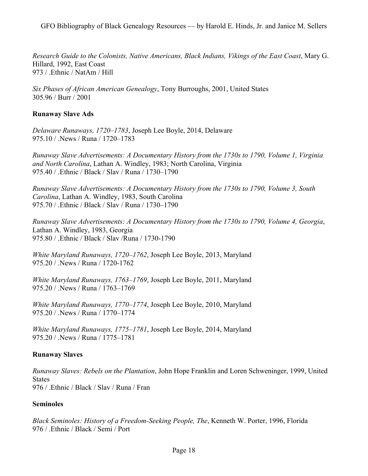*Research Guide to the Colonists, Native Americans, Black Indians, Vikings of the East Coast*, Mary G. Hillard, 1992, East Coast 973 / .Ethnic / NatAm / Hill

*Six Phases of African American Genealogy*, Tony Burroughs, 2001, United States 305.96 / Burr / 2001

### **Runaway Slave Ads**

*Delaware Runaways, 1720–1783*, Joseph Lee Boyle, 2014, Delaware 975.10 / .News / Runa / 1720–1783

*Runaway Slave Advertisements: A Documentary History from the 1730s to 1790, Volume 1, Virginia and North Carolina*, Lathan A. Windley, 1983; North Carolina, Virginia 975.40 / .Ethnic / Black / Slav / Runa / 1730–1790

*Runaway Slave Advertisements: A Documentary History from the 1730s to 1790, Volume 3, South Carolina*, Lathan A. Windley, 1983, South Carolina 975.70 / .Ethnic / Black / Slav / Runa / 1730–1790

*Runaway Slave Advertisements: A Documentary History from the 1730s to 1790, Volume 4, Georgia*, Lathan A. Windley, 1983, Georgia 975.80 / .Ethnic / Black / Slav /Runa / 1730-1790

*White Maryland Runaways, 1720–1762*, Joseph Lee Boyle, 2013, Maryland 975.20 / .News / Runa / 1720-1762

*White Maryland Runaways, 1763–1769*, Joseph Lee Boyle, 2011, Maryland 975.20 / .News / Runa / 1763–1769

*White Maryland Runaways, 1770–1774*, Joseph Lee Boyle, 2010, Maryland 975.20 / .News / Runa / 1770–1774

*White Maryland Runaways, 1775–1781*, Joseph Lee Boyle, 2014, Maryland 975.20 / .News / Runa / 1775–1781

## **Runaway Slaves**

*Runaway Slaves: Rebels on the Plantation*, John Hope Franklin and Loren Schweninger, 1999, United States 976 / .Ethnic / Black / Slav / Runa / Fran

#### **Seminoles**

*Black Seminoles: History of a Freedom-Seeking People, The*, Kenneth W. Porter, 1996, Florida 976 / .Ethnic / Black / Semi / Port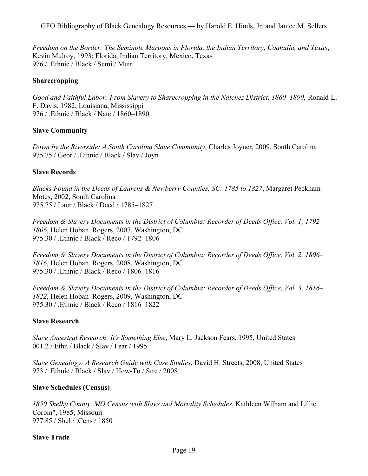*Freedom on the Border: The Seminole Maroons in Florida, the Indian Territory, Coahuila, and Texas*, Kevin Mulroy, 1993; Florida, Indian Territory, Mexico, Texas 976 / .Ethnic / Black / Semi / Muir

### **Sharecropping**

*Good and Faithful Labor: From Slavery to Sharecropping in the Natchez District, 1860–1890*, Ronald L. F. Davis, 1982; Louisiana, Mississippi 976 / .Ethnic / Black / Natc / 1860–1890

### **Slave Community**

*Down by the Riverside: A South Carolina Slave Community*, Charles Joyner, 2009, South Carolina 975.75 / Geor / .Ethnic / Black / Slav / Joyn

### **Slave Records**

*Blacks Found in the Deeds of Laurens & Newberry Counties, SC: 1785 to 1827*, Margaret Peckham Motes, 2002, South Carolina 975.75 / Laur / Black / Deed / 1785–1827

*Freedom & Slavery Documents in the District of Columbia: Recorder of Deeds Office, Vol. 1, 1792– 1806*, Helen Hoban Rogers, 2007, Washington, DC 975.30 / .Ethnic / Black / Reco / 1792–1806

*Freedom & Slavery Documents in the District of Columbia: Recorder of Deeds Office, Vol. 2, 1806– 1816*, Helen Hoban Rogers, 2008, Washington, DC 975.30 / .Ethnic / Black / Reco / 1806–1816

*Freedom & Slavery Documents in the District of Columbia: Recorder of Deeds Office, Vol. 3, 1816– 1822*, Helen Hoban Rogers, 2009, Washington, DC 975.30 / .Ethnic / Black / Reco / 1816–1822

#### **Slave Research**

*Slave Ancestral Research: It's Something Else*, Mary L. Jackson Fears, 1995, United States 001.2 / Ethn / Black / Slav / Fear / 1995

*Slave Genealogy: A Research Guide with Case Studies*, David H. Streets, 2008, United States 973 / .Ethnic / Black / Slav / How-To / Stre / 2008

#### **Slave Schedules (Census)**

*1850 Shelby County, MO Census with Slave and Mortality Schedules*, Kathleen Wilham and Lillie Corbin", 1985, Missouri 977.85 / Shel / .Cens / 1850

#### **Slave Trade**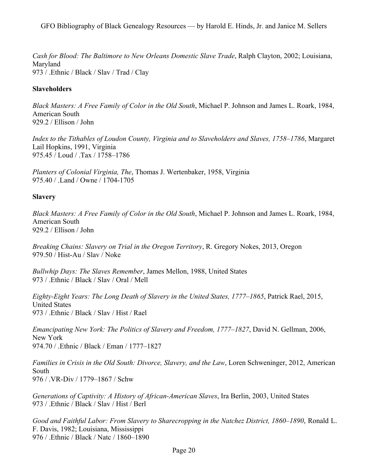*Cash for Blood: The Baltimore to New Orleans Domestic Slave Trade*, Ralph Clayton, 2002; Louisiana, Maryland 973 / .Ethnic / Black / Slav / Trad / Clay

## **Slaveholders**

*Black Masters: A Free Family of Color in the Old South*, Michael P. Johnson and James L. Roark, 1984, American South 929.2 / Ellison / John

*Index to the Tithables of Loudon County, Virginia and to Slaveholders and Slaves, 1758–1786*, Margaret Lail Hopkins, 1991, Virginia 975.45 / Loud / .Tax / 1758–1786

*Planters of Colonial Virginia, The*, Thomas J. Wertenbaker, 1958, Virginia 975.40 / .Land / Owne / 1704-1705

# **Slavery**

*Black Masters: A Free Family of Color in the Old South*, Michael P. Johnson and James L. Roark, 1984, American South 929.2 / Ellison / John

*Breaking Chains: Slavery on Trial in the Oregon Territory*, R. Gregory Nokes, 2013, Oregon 979.50 / Hist-Au / Slav / Noke

*Bullwhip Days: The Slaves Remember*, James Mellon, 1988, United States 973 / .Ethnic / Black / Slav / Oral / Mell

*Eighty-Eight Years: The Long Death of Slavery in the United States, 1777–1865*, Patrick Rael, 2015, United States 973 / .Ethnic / Black / Slav / Hist / Rael

*Emancipating New York: The Politics of Slavery and Freedom, 1777–1827*, David N. Gellman, 2006, New York 974.70 / .Ethnic / Black / Eman / 1777–1827

*Families in Crisis in the Old South: Divorce, Slavery, and the Law*, Loren Schweninger, 2012, American South 976 / .VR-Div / 1779–1867 / Schw

*Generations of Captivity: A History of African-American Slaves*, Ira Berlin, 2003, United States 973 / .Ethnic / Black / Slav / Hist / Berl

*Good and Faithful Labor: From Slavery to Sharecropping in the Natchez District, 1860–1890*, Ronald L. F. Davis, 1982; Louisiana, Mississippi 976 / .Ethnic / Black / Natc / 1860–1890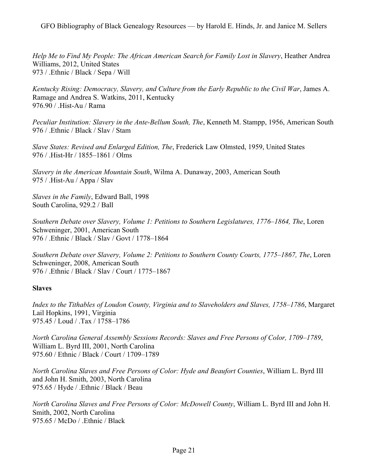*Help Me to Find My People: The African American Search for Family Lost in Slavery*, Heather Andrea Williams, 2012, United States 973 / .Ethnic / Black / Sepa / Will

*Kentucky Rising: Democracy, Slavery, and Culture from the Early Republic to the Civil War*, James A. Ramage and Andrea S. Watkins, 2011, Kentucky 976.90 / .Hist-Au / Rama

*Peculiar Institution: Slavery in the Ante-Bellum South, The*, Kenneth M. Stampp, 1956, American South 976 / .Ethnic / Black / Slav / Stam

*Slave States: Revised and Enlarged Edition, The*, Frederick Law Olmsted, 1959, United States 976 / .Hist-Hr / 1855–1861 / Olms

*Slavery in the American Mountain South*, Wilma A. Dunaway, 2003, American South 975 / .Hist-Au / Appa / Slav

*Slaves in the Family*, Edward Ball, 1998 South Carolina, 929.2 / Ball

*Southern Debate over Slavery, Volume 1: Petitions to Southern Legislatures, 1776–1864, The*, Loren Schweninger, 2001, American South 976 / .Ethnic / Black / Slav / Govt / 1778–1864

*Southern Debate over Slavery, Volume 2: Petitions to Southern County Courts, 1775–1867, The*, Loren Schweninger, 2008, American South 976 / .Ethnic / Black / Slav / Court / 1775–1867

#### **Slaves**

*Index to the Tithables of Loudon County, Virginia and to Slaveholders and Slaves, 1758–1786*, Margaret Lail Hopkins, 1991, Virginia 975.45 / Loud / .Tax / 1758–1786

*North Carolina General Assembly Sessions Records: Slaves and Free Persons of Color, 1709–1789*, William L. Byrd III, 2001, North Carolina 975.60 / Ethnic / Black / Court / 1709–1789

*North Carolina Slaves and Free Persons of Color: Hyde and Beaufort Counties*, William L. Byrd III and John H. Smith, 2003, North Carolina 975.65 / Hyde / .Ethnic / Black / Beau

*North Carolina Slaves and Free Persons of Color: McDowell County*, William L. Byrd III and John H. Smith, 2002, North Carolina 975.65 / McDo / .Ethnic / Black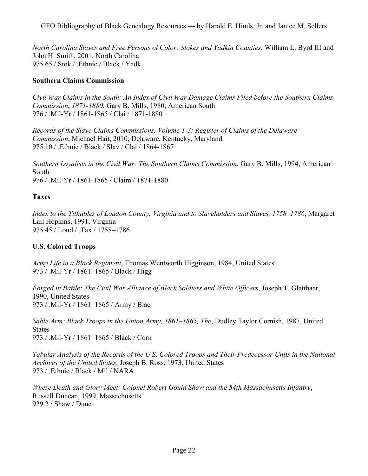*North Carolina Slaves and Free Persons of Color: Stokes and Yadkin Counties*, William L. Byrd III and John H. Smith, 2001, North Carolina 975.65 / Stok / .Ethnic / Black / Yadk

### **Southern Claims Commission**

*Civil War Claims in the South: An Index of Civil War Damage Claims Filed before the Southern Claims Commission, 1871-1880*, Gary B. Mills, 1980, American South 976 / .Mil-Yr / 1861-1865 / Clai / 1871-1880

*Records of the Slave Claims Commissions, Volume 1-3: Register of Claims of the Delaware Commission*, Michael Hait, 2010; Delaware, Kentucky, Maryland 975.10 / .Ethnic / Black / Slav / Clai / 1864-1867

*Southern Loyalists in the Civil War: The Southern Claims Commission*, Gary B. Mills, 1994, American South 976 / .Mil-Yr / 1861-1865 / Claim / 1871-1880

### **Taxes**

*Index to the Tithables of Loudon County, Virginia and to Slaveholders and Slaves, 1758–1786*, Margaret Lail Hopkins, 1991, Virginia 975.45 / Loud / .Tax / 1758–1786

## **U.S. Colored Troops**

*Army Life in a Black Regiment*, Thomas Wentworth Higginson, 1984, United States 973 / .Mil-Yr / 1861–1865 / Black / Higg

*Forged in Battle: The Civil War Alliance of Black Soldiers and White Officers*, Joseph T. Glatthaar, 1990, United States 973 / .Mil-Yr / 1861–1865 / Army / Blac

*Sable Arm: Black Troops in the Union Army, 1861–1865, The*, Dudley Taylor Cornish, 1987, United **States** 973 / .Mil-Yr / 1861–1865 / Black / Corn

*Tabular Analysis of the Records of the U.S. Colored Troops and Their Predecessor Units in the Naitonal Archives of the United States*, Joseph B. Ross, 1973, United States 973 / .Ethnic / Black / Mil / NARA

*Where Death and Glory Meet: Colonel Robert Gould Shaw and the 54th Massachusetts Infantry*, Russell Duncan, 1999, Massachusetts 929.2 / Shaw / Dunc